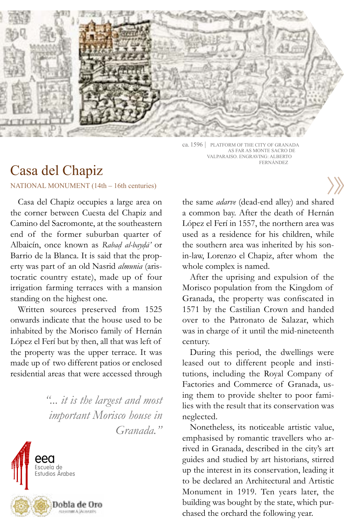

ca. 1596 | PLATFORM OF THE CITY OF GRANADA AS FAR AS MONTE SACRO DE VALPARAISO. ENGRAVING: ALBERTO FERNÁNDEZ

## Casa del Chapiz

NATIONAL MONUMENT (14th – 16th centuries)

Casa del Chapiz occupies a large area on the corner between Cuesta del Chapiz and Camino del Sacromonte, at the southeastern end of the former suburban quarter of Albaicín, once known as *Rabad al-baydā'* or . .Barrio de la Blanca. It is said that the property was part of an old Nasrid *almunia* (aristocratic country estate), made up of four irrigation farming terraces with a mansion standing on the highest one.

Written sources preserved from 1525 onwards indicate that the house used to be inhabited by the Morisco family of Hernán López el Ferí but by then, all that was left of the property was the upper terrace. It was made up of two different patios or enclosed residential areas that were accessed through

> *"... it is the largest and most important Morisco house in Granada."*



the same *adarve* (dead-end alley) and shared a common bay. After the death of Hernán López el Ferí in 1557, the northern area was used as a residence for his children, while the southern area was inherited by his sonin-law, Lorenzo el Chapiz, after whom the whole complex is named.

After the uprising and expulsion of the Morisco population from the Kingdom of Granada, the property was confiscated in 1571 by the Castilian Crown and handed over to the Patronato de Salazar, which was in charge of it until the mid-nineteenth century.

During this period, the dwellings were leased out to different people and institutions, including the Royal Company of Factories and Commerce of Granada, using them to provide shelter to poor families with the result that its conservation was neglected.

Nonetheless, its noticeable artistic value, emphasised by romantic travellers who arrived in Granada, described in the city's art guides and studied by art historians, stirred up the interest in its conservation, leading it to be declared an Architectural and Artistic Monument in 1919. Ten years later, the building was bought by the state, which purchased the orchard the following year.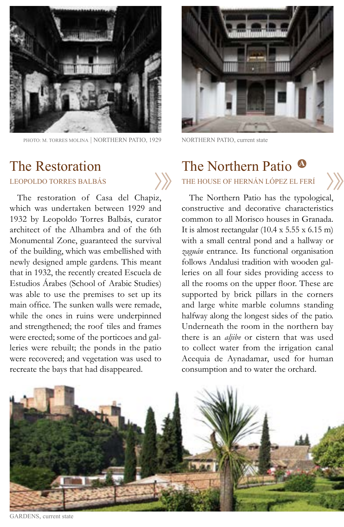

PHOTO: M. TORRES MOLINA | NORTHERN PATIO, 1929

# The Restoration

The restoration of Casa del Chapiz, which was undertaken between 1929 and 1932 by Leopoldo Torres Balbás, curator architect of the Alhambra and of the 6th Monumental Zone, guaranteed the survival of the building, which was embellished with newly designed ample gardens. This meant that in 1932, the recently created Escuela de Estudios Árabes (School of Arabic Studies) was able to use the premises to set up its main office. The sunken walls were remade, while the ones in ruins were underpinned and strengthened; the roof tiles and frames were erected; some of the porticoes and galleries were rebuilt; the ponds in the patio were recovered; and vegetation was used to recreate the bays that had disappeared.



NORTHERN PATIO, current state

# The Northern Patio **<sup>A</sup>**

LEOPOLDO TORRES BALBÁS THE HOUSE OF HERNÁN LÓPEZ EL FERÍ

The Northern Patio has the typological, constructive and decorative characteristics common to all Morisco houses in Granada. It is almost rectangular  $(10.4 \times 5.55 \times 6.15 \text{ m})$ with a small central pond and a hallway or *zaguán* entrance. Its functional organisation follows Andalusi tradition with wooden galleries on all four sides providing access to all the rooms on the upper floor. These are supported by brick pillars in the corners and large white marble columns standing halfway along the longest sides of the patio. Underneath the room in the northern bay there is an *aljibe* or cistern that was used to collect water from the irrigation canal Acequia de Aynadamar, used for human consumption and to water the orchard.



GARDENS, current state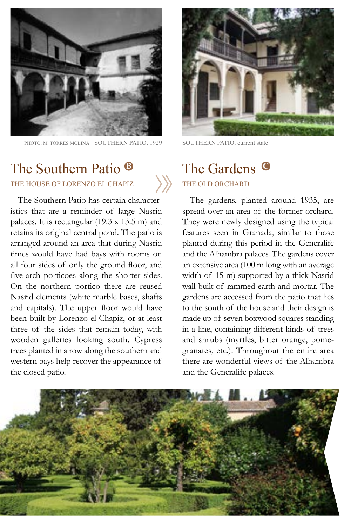

PHOTO: M. TORRES MOLINA | SOUTHERN PATIO, 1929

## The Southern Patio **<sup>B</sup>** THE HOUSE OF LORENZO EL CHAPIZ THE OLD ORCHARD

The Southern Patio has certain characteristics that are a reminder of large Nasrid palaces. It is rectangular (19.3 x 13.5 m) and retains its original central pond. The patio is arranged around an area that during Nasrid times would have had bays with rooms on all four sides of only the ground floor, and five-arch porticoes along the shorter sides. On the northern portico there are reused Nasrid elements (white marble bases, shafts and capitals). The upper floor would have been built by Lorenzo el Chapiz, or at least three of the sides that remain today, with wooden galleries looking south. Cypress trees planted in a row along the southern and western bays help recover the appearance of the closed patio.



SOUTHERN PATIO, current state

# The Gardens **<sup>C</sup>**

### The gardens, planted around 1935, are spread over an area of the former orchard. They were newly designed using the typical features seen in Granada, similar to those planted during this period in the Generalife and the Alhambra palaces. The gardens cover an extensive area (100 m long with an average width of 15 m) supported by a thick Nasrid wall built of rammed earth and mortar. The gardens are accessed from the patio that lies to the south of the house and their design is made up of seven boxwood squares standing in a line, containing different kinds of trees and shrubs (myrtles, bitter orange, pomegranates, etc.). Throughout the entire area there are wonderful views of the Alhambra and the Generalife palaces.

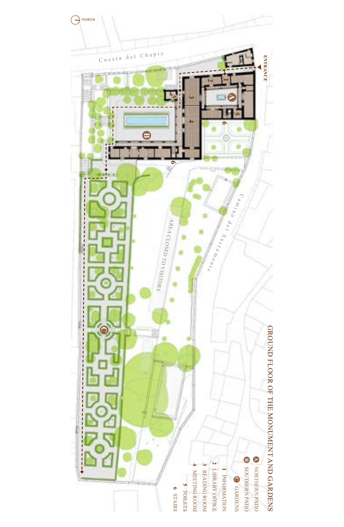